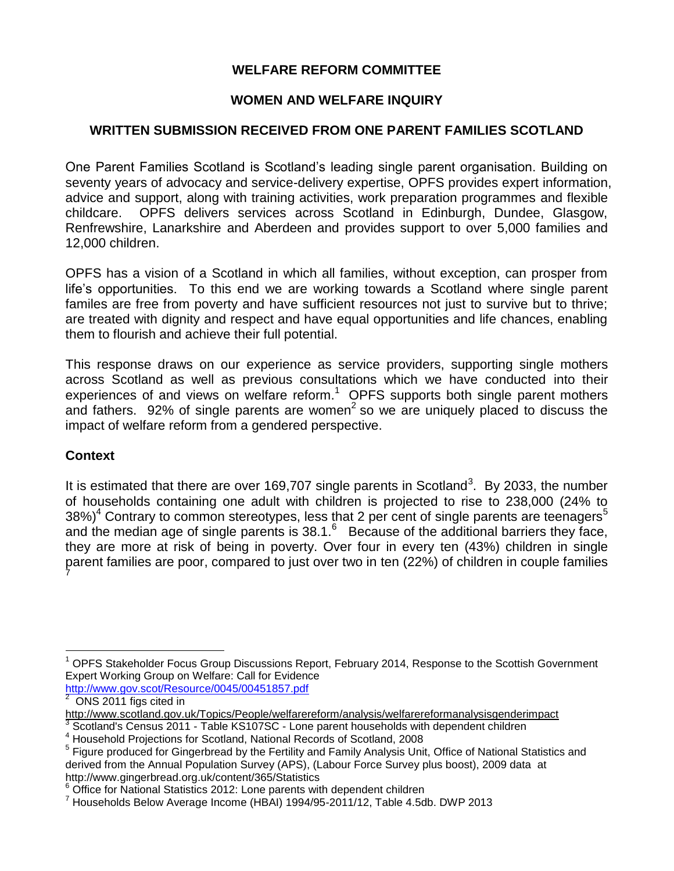## **WELFARE REFORM COMMITTEE**

## **WOMEN AND WELFARE INQUIRY**

### **WRITTEN SUBMISSION RECEIVED FROM ONE PARENT FAMILIES SCOTLAND**

One Parent Families Scotland is Scotland's leading single parent organisation. Building on seventy years of advocacy and service-delivery expertise, OPFS provides expert information, advice and support, along with training activities, work preparation programmes and flexible childcare. OPFS delivers services across Scotland in Edinburgh, Dundee, Glasgow, Renfrewshire, Lanarkshire and Aberdeen and provides support to over 5,000 families and 12,000 children.

OPFS has a vision of a Scotland in which all families, without exception, can prosper from life's opportunities. To this end we are working towards a Scotland where single parent familes are free from poverty and have sufficient resources not just to survive but to thrive; are treated with dignity and respect and have equal opportunities and life chances, enabling them to flourish and achieve their full potential.

This response draws on our experience as service providers, supporting single mothers across Scotland as well as previous consultations which we have conducted into their experiences of and views on welfare reform. $1$  OPFS supports both single parent mothers and fathers. 92% of single parents are women<sup>2</sup> so we are uniquely placed to discuss the impact of welfare reform from a gendered perspective.

### **Context**

 $\overline{a}$ 

It is estimated that there are over 169,707 single parents in Scotland<sup>3</sup>. By 2033, the number of households containing one adult with children is projected to rise to 238,000 (24% to  $38\%)<sup>4</sup>$  Contrary to common stereotypes, less that 2 per cent of single parents are teenagers<sup>5</sup> and the median age of single parents is  $38.1<sup>6</sup>$  Because of the additional barriers they face, they are more at risk of being in poverty. Over four in every ten (43%) children in single parent families are poor, compared to just over two in ten (22%) of children in couple families 7

<http://www.gov.scot/Resource/0045/00451857.pdf> 2 ONS 2011 figs cited in

<sup>1</sup> OPFS Stakeholder Focus Group Discussions Report, February 2014, Response to the Scottish Government Expert Working Group on Welfare: Call for Evidence

<http://www.scotland.gov.uk/Topics/People/welfarereform/analysis/welfarereformanalysisgenderimpact>

<sup>&</sup>lt;sup>3</sup> Scotland's Census 2011 - Table KS107SC - Lone parent households with dependent children

<sup>4</sup> Household Projections for Scotland, National Records of Scotland, 2008

<sup>&</sup>lt;sup>5</sup> Figure produced for Gingerbread by the Fertility and Family Analysis Unit, Office of National Statistics and derived from the Annual Population Survey (APS), (Labour Force Survey plus boost), 2009 data at http://www.gingerbread.org.uk/content/365/Statistics

 $6$  Office for National Statistics 2012: Lone parents with dependent children

 $7$  Households Below Average Income (HBAI) 1994/95-2011/12, Table 4.5db. DWP 2013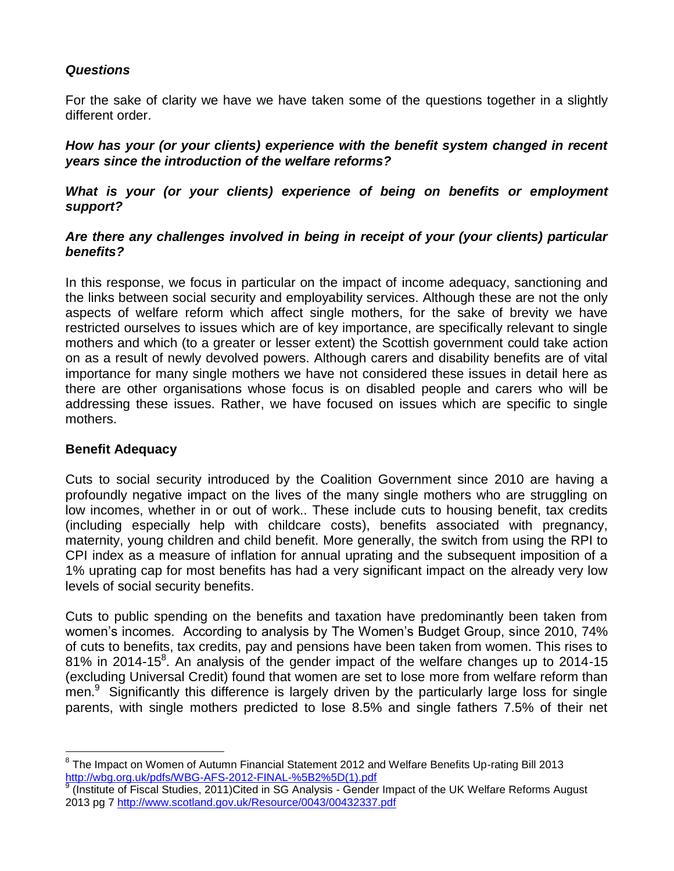## *Questions*

For the sake of clarity we have we have taken some of the questions together in a slightly different order.

*How has your (or your clients) experience with the benefit system changed in recent years since the introduction of the welfare reforms?*

*What is your (or your clients) experience of being on benefits or employment support?*

### *Are there any challenges involved in being in receipt of your (your clients) particular benefits?*

In this response, we focus in particular on the impact of income adequacy, sanctioning and the links between social security and employability services. Although these are not the only aspects of welfare reform which affect single mothers, for the sake of brevity we have restricted ourselves to issues which are of key importance, are specifically relevant to single mothers and which (to a greater or lesser extent) the Scottish government could take action on as a result of newly devolved powers. Although carers and disability benefits are of vital importance for many single mothers we have not considered these issues in detail here as there are other organisations whose focus is on disabled people and carers who will be addressing these issues. Rather, we have focused on issues which are specific to single mothers.

# **Benefit Adequacy**

 $\overline{a}$ 

Cuts to social security introduced by the Coalition Government since 2010 are having a profoundly negative impact on the lives of the many single mothers who are struggling on low incomes, whether in or out of work.. These include cuts to housing benefit, tax credits (including especially help with childcare costs), benefits associated with pregnancy, maternity, young children and child benefit. More generally, the switch from using the RPI to CPI index as a measure of inflation for annual uprating and the subsequent imposition of a 1% uprating cap for most benefits has had a very significant impact on the already very low levels of social security benefits.

Cuts to public spending on the benefits and taxation have predominantly been taken from women's incomes. According to analysis by The Women's Budget Group, since 2010, 74% of cuts to benefits, tax credits, pay and pensions have been taken from women. This rises to 81% in 2014-15 $8$ . An analysis of the gender impact of the welfare changes up to 2014-15 (excluding Universal Credit) found that women are set to lose more from welfare reform than men.<sup>9</sup> Significantly this difference is largely driven by the particularly large loss for single parents, with single mothers predicted to lose 8.5% and single fathers 7.5% of their net

<sup>&</sup>lt;sup>8</sup> The Impact on Women of Autumn Financial Statement 2012 and Welfare Benefits Up-rating Bill 2013 [http://wbg.org.uk/pdfs/WBG-AFS-2012-FINAL-%5B2%5D\(1\).pdf](http://wbg.org.uk/pdfs/WBG-AFS-2012-FINAL-%5B2%5D(1).pdf)

<sup>9</sup> (Institute of Fiscal Studies, 2011)Cited in SG Analysis - Gender Impact of the UK Welfare Reforms August 2013 pg 7<http://www.scotland.gov.uk/Resource/0043/00432337.pdf>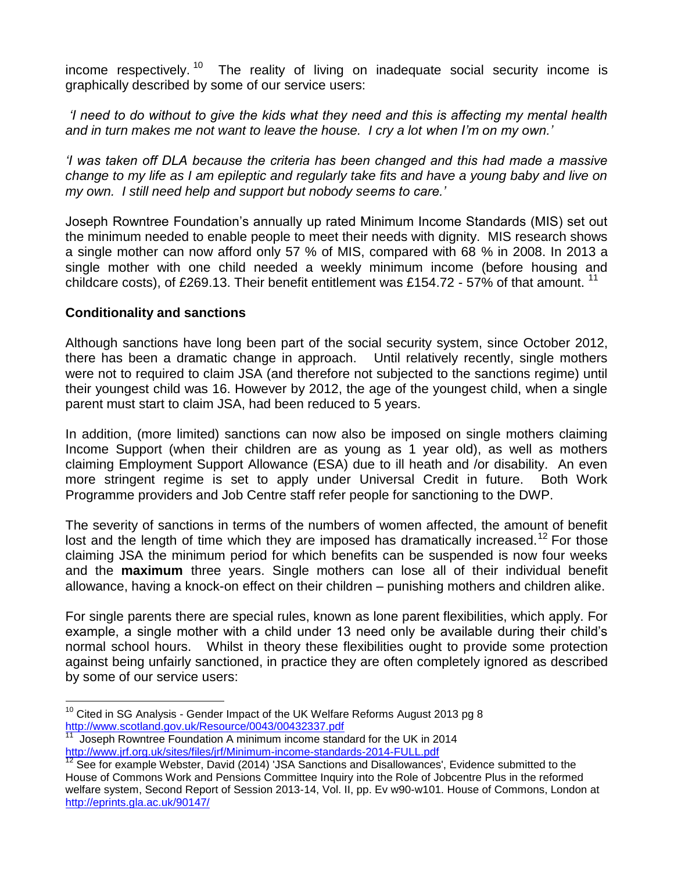income respectively.<sup>10</sup> The reality of living on inadequate social security income is graphically described by some of our service users:

*'I need to do without to give the kids what they need and this is affecting my mental health and in turn makes me not want to leave the house. I cry a lot when I'm on my own.'*

*'I was taken off DLA because the criteria has been changed and this had made a massive change to my life as I am epileptic and regularly take fits and have a young baby and live on my own. I still need help and support but nobody seems to care.'*

Joseph Rowntree Foundation's annually up rated Minimum Income Standards (MIS) set out the minimum needed to enable people to meet their needs with dignity. MIS research shows a single mother can now afford only 57 % of MIS, compared with 68 % in 2008. In 2013 a single mother with one child needed a weekly minimum income (before housing and childcare costs), of £269.13. Their benefit entitlement was £154.72 - 57% of that amount.  $11$ 

### **Conditionality and sanctions**

Although sanctions have long been part of the social security system, since October 2012, there has been a dramatic change in approach. Until relatively recently, single mothers were not to required to claim JSA (and therefore not subjected to the sanctions regime) until their youngest child was 16. However by 2012, the age of the youngest child, when a single parent must start to claim JSA, had been reduced to 5 years.

In addition, (more limited) sanctions can now also be imposed on single mothers claiming Income Support (when their children are as young as 1 year old), as well as mothers claiming Employment Support Allowance (ESA) due to ill heath and /or disability. An even more stringent regime is set to apply under Universal Credit in future. Both Work Programme providers and Job Centre staff refer people for sanctioning to the DWP.

The severity of sanctions in terms of the numbers of women affected, the amount of benefit lost and the length of time which they are imposed has dramatically increased.<sup>12</sup> For those claiming JSA the minimum period for which benefits can be suspended is now four weeks and the **maximum** three years. Single mothers can lose all of their individual benefit allowance, having a knock-on effect on their children – punishing mothers and children alike.

For single parents there are special rules, known as lone parent flexibilities, which apply. For example, a single mother with a child under 13 need only be available during their child's normal school hours. Whilst in theory these flexibilities ought to provide some protection against being unfairly sanctioned, in practice they are often completely ignored as described by some of our service users:

 $\overline{a}$  $10$  Cited in SG Analysis - Gender Impact of the UK Welfare Reforms August 2013 pg 8 <http://www.scotland.gov.uk/Resource/0043/00432337.pdf> 11

Joseph Rowntree Foundation A minimum income standard for the UK in 2014 <http://www.jrf.org.uk/sites/files/jrf/Minimum-income-standards-2014-FULL.pdf>

<sup>12</sup> See for example Webster, David (2014) 'JSA Sanctions and Disallowances', Evidence submitted to the House of Commons Work and Pensions Committee Inquiry into the Role of Jobcentre Plus in the reformed welfare system, Second Report of Session 2013-14, Vol. II, pp. Ev w90-w101. House of Commons, London at <http://eprints.gla.ac.uk/90147/>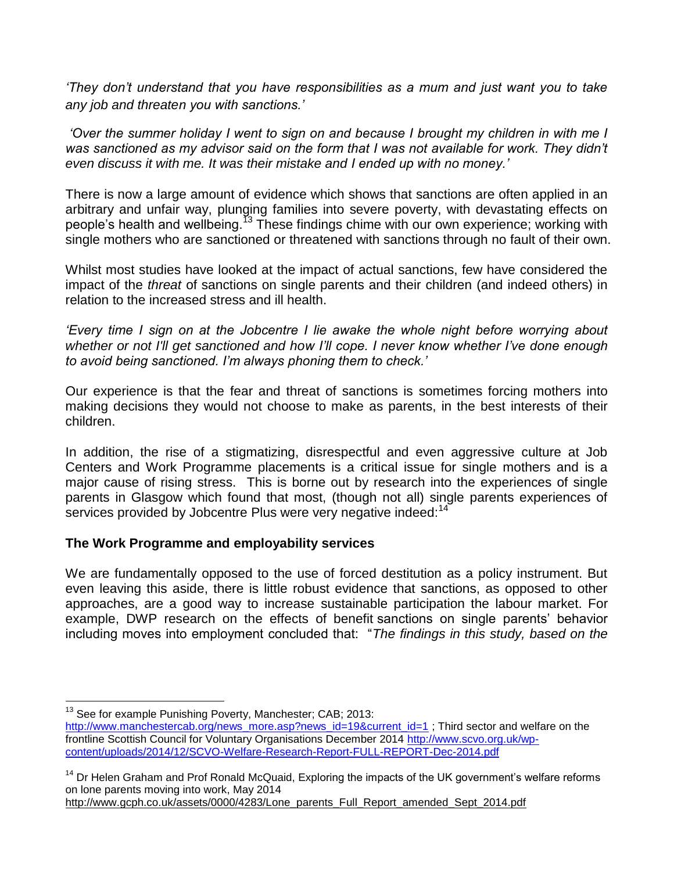*'They don't understand that you have responsibilities as a mum and just want you to take any job and threaten you with sanctions.'*

*'Over the summer holiday I went to sign on and because I brought my children in with me I*  was sanctioned as my advisor said on the form that I was not available for work. They didn't *even discuss it with me. It was their mistake and I ended up with no money.'* 

There is now a large amount of evidence which shows that sanctions are often applied in an arbitrary and unfair way, plunging families into severe poverty, with devastating effects on people's health and wellbeing.<sup>13</sup> These findings chime with our own experience; working with single mothers who are sanctioned or threatened with sanctions through no fault of their own.

Whilst most studies have looked at the impact of actual sanctions, few have considered the impact of the *threat* of sanctions on single parents and their children (and indeed others) in relation to the increased stress and ill health.

*'Every time I sign on at the Jobcentre I lie awake the whole night before worrying about whether or not I'll get sanctioned and how I'll cope. I never know whether I've done enough to avoid being sanctioned. I'm always phoning them to check.'*

Our experience is that the fear and threat of sanctions is sometimes forcing mothers into making decisions they would not choose to make as parents, in the best interests of their children.

In addition, the rise of a stigmatizing, disrespectful and even aggressive culture at Job Centers and Work Programme placements is a critical issue for single mothers and is a major cause of rising stress. This is borne out by research into the experiences of single parents in Glasgow which found that most, (though not all) single parents experiences of services provided by Jobcentre Plus were very negative indeed:<sup>14</sup>

# **The Work Programme and employability services**

We are fundamentally opposed to the use of forced destitution as a policy instrument. But even leaving this aside, there is little robust evidence that sanctions, as opposed to other approaches, are a good way to increase sustainable participation the labour market. For example, DWP research on the effects of benefit sanctions on single parents' behavior including moves into employment concluded that: "*The findings in this study, based on the* 

 $\overline{a}$ <sup>13</sup> See for example Punishing Poverty, Manchester; CAB; 2013:

[http://www.manchestercab.org/news\\_more.asp?news\\_id=19&current\\_id=1](http://www.manchestercab.org/news_more.asp?news_id=19¤t_id=1) ; Third sector and welfare on the frontline Scottish Council for Voluntary Organisations December 2014 [http://www.scvo.org.uk/wp](http://www.scvo.org.uk/wp-content/uploads/2014/12/SCVO-Welfare-Research-Report-FULL-REPORT-Dec-2014.pdf)[content/uploads/2014/12/SCVO-Welfare-Research-Report-FULL-REPORT-Dec-2014.pdf](http://www.scvo.org.uk/wp-content/uploads/2014/12/SCVO-Welfare-Research-Report-FULL-REPORT-Dec-2014.pdf)

 $14$  Dr Helen Graham and Prof Ronald McQuaid, Exploring the impacts of the UK government's welfare reforms on lone parents moving into work, May 2014

[http://www.gcph.co.uk/assets/0000/4283/Lone\\_parents\\_Full\\_Report\\_amended\\_Sept\\_2014.pdf](http://www.gcph.co.uk/assets/0000/4283/Lone_parents_Full_Report_amended_Sept_2014.pdf)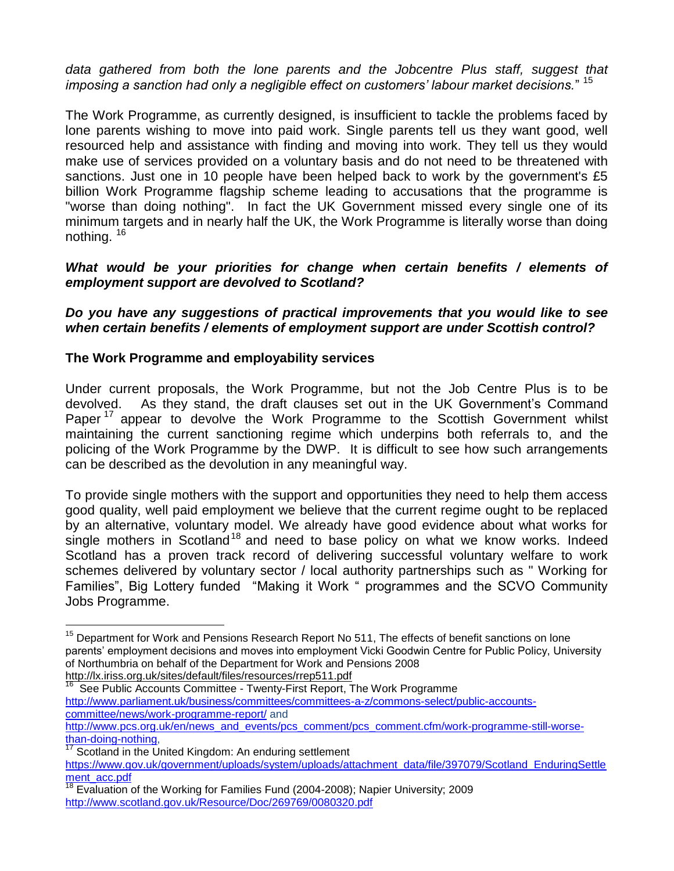*data gathered from both the lone parents and the Jobcentre Plus staff, suggest that imposing a sanction had only a negligible effect on customers' labour market decisions.*" <sup>15</sup>

The Work Programme, as currently designed, is insufficient to tackle the problems faced by lone parents wishing to move into paid work. Single parents tell us they want good, well resourced help and assistance with finding and moving into work. They tell us they would make use of services provided on a voluntary basis and do not need to be threatened with sanctions. Just one in 10 people have been helped back to work by the government's £5 billion Work Programme flagship scheme leading to accusations that the programme is "worse than doing nothing". In fact the UK Government missed every single one of its minimum targets and in nearly half the UK, the Work Programme is literally worse than doing nothing. <sup>16</sup>

### *What would be your priorities for change when certain benefits / elements of employment support are devolved to Scotland?*

*Do you have any suggestions of practical improvements that you would like to see when certain benefits / elements of employment support are under Scottish control?*

## **The Work Programme and employability services**

Under current proposals, the Work Programme, but not the Job Centre Plus is to be devolved. As they stand, the draft clauses set out in the UK Government's Command Paper<sup>17</sup> appear to devolve the Work Programme to the Scottish Government whilst maintaining the current sanctioning regime which underpins both referrals to, and the policing of the Work Programme by the DWP. It is difficult to see how such arrangements can be described as the devolution in any meaningful way.

To provide single mothers with the support and opportunities they need to help them access good quality, well paid employment we believe that the current regime ought to be replaced by an alternative, voluntary model. We already have good evidence about what works for single mothers in Scotland<sup>18</sup> and need to base policy on what we know works. Indeed Scotland has a proven track record of delivering successful voluntary welfare to work schemes delivered by voluntary sector / local authority partnerships such as " Working for Families", Big Lottery funded "Making it Work " programmes and the SCVO Community Jobs Programme.

16 See Public Accounts Committee - Twenty-First Report, The Work Programme [http://www.parliament.uk/business/committees/committees-a-z/commons-select/public-accounts](http://www.parliament.uk/business/committees/committees-a-z/commons-select/public-accounts-committee/news/work-programme-report/)[committee/news/work-programme-report/](http://www.parliament.uk/business/committees/committees-a-z/commons-select/public-accounts-committee/news/work-programme-report/) and

 $\overline{a}$ 

<sup>&</sup>lt;sup>15</sup> Department for Work and Pensions Research Report No 511, The effects of benefit sanctions on lone parents' employment decisions and moves into employment Vicki Goodwin Centre for Public Policy, University of Northumbria on behalf of the Department for Work and Pensions 2008 <http://lx.iriss.org.uk/sites/default/files/resources/rrep511.pdf>

[http://www.pcs.org.uk/en/news\\_and\\_events/pcs\\_comment/pcs\\_comment.cfm/work-programme-still-worse](http://www.pcs.org.uk/en/news_and_events/pcs_comment/pcs_comment.cfm/work-programme-still-worse-than-doing-nothing)[than-doing-nothing,](http://www.pcs.org.uk/en/news_and_events/pcs_comment/pcs_comment.cfm/work-programme-still-worse-than-doing-nothing)

Scotland in the United Kingdom: An enduring settlement

[https://www.gov.uk/government/uploads/system/uploads/attachment\\_data/file/397079/Scotland\\_EnduringSettle](https://www.gov.uk/government/uploads/system/uploads/attachment_data/file/397079/Scotland_EnduringSettlement_acc.pdf) [ment\\_acc.pdf](https://www.gov.uk/government/uploads/system/uploads/attachment_data/file/397079/Scotland_EnduringSettlement_acc.pdf)

 $18$  Evaluation of the Working for Families Fund (2004-2008); Napier University; 2009 <http://www.scotland.gov.uk/Resource/Doc/269769/0080320.pdf>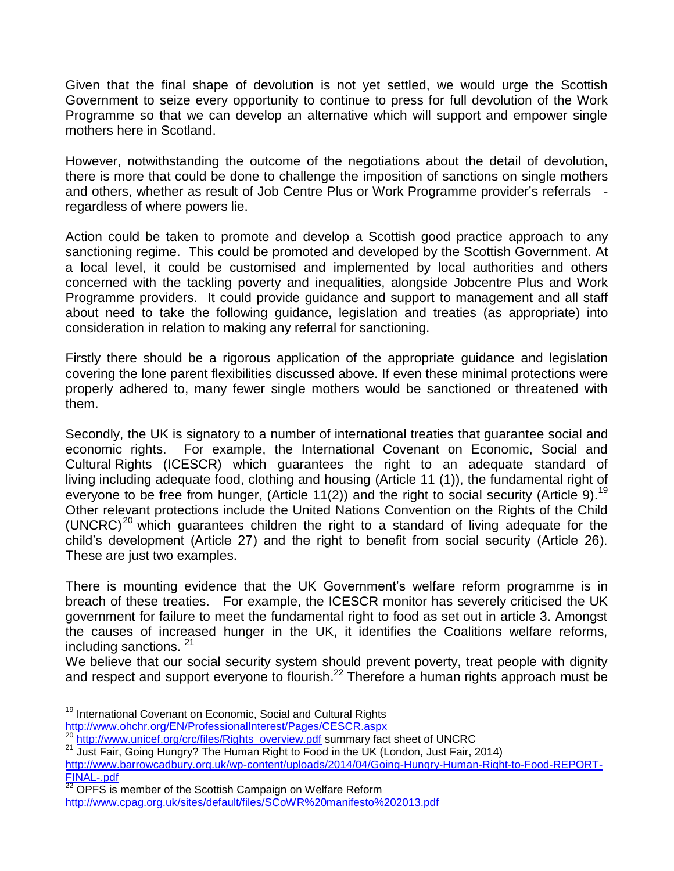Given that the final shape of devolution is not yet settled, we would urge the Scottish Government to seize every opportunity to continue to press for full devolution of the Work Programme so that we can develop an alternative which will support and empower single mothers here in Scotland.

However, notwithstanding the outcome of the negotiations about the detail of devolution, there is more that could be done to challenge the imposition of sanctions on single mothers and others, whether as result of Job Centre Plus or Work Programme provider's referrals regardless of where powers lie.

Action could be taken to promote and develop a Scottish good practice approach to any sanctioning regime. This could be promoted and developed by the Scottish Government. At a local level, it could be customised and implemented by local authorities and others concerned with the tackling poverty and inequalities, alongside Jobcentre Plus and Work Programme providers. It could provide guidance and support to management and all staff about need to take the following guidance, legislation and treaties (as appropriate) into consideration in relation to making any referral for sanctioning.

Firstly there should be a rigorous application of the appropriate guidance and legislation covering the lone parent flexibilities discussed above. If even these minimal protections were properly adhered to, many fewer single mothers would be sanctioned or threatened with them.

Secondly, the UK is signatory to a number of international treaties that guarantee social and economic rights. For example, the International Covenant on Economic, Social and Cultural Rights (ICESCR) which guarantees the right to an adequate standard of living including adequate food, clothing and housing (Article 11 (1)), the fundamental right of everyone to be free from hunger, (Article 11(2)) and the right to social security (Article 9).<sup>19</sup> Other relevant protections include the United Nations Convention on the Rights of the Child  $(UNERC)^{20}$  which quarantees children the right to a standard of living adequate for the child's development (Article 27) and the right to benefit from social security (Article 26). These are just two examples.

There is mounting evidence that the UK Government's welfare reform programme is in breach of these treaties. For example, the ICESCR monitor has severely criticised the UK government for failure to meet the fundamental right to food as set out in article 3. Amongst the causes of increased hunger in the UK, it identifies the Coalitions welfare reforms, including sanctions. <sup>21</sup>

We believe that our social security system should prevent poverty, treat people with dignity and respect and support everyone to flourish.<sup>22</sup> Therefore a human rights approach must be

 $\overline{a}$ 

 $22$  OPFS is member of the Scottish Campaign on Welfare Reform <http://www.cpag.org.uk/sites/default/files/SCoWR%20manifesto%202013.pdf>

<sup>&</sup>lt;sup>19</sup> International Covenant on Economic, Social and Cultural Rights <http://www.ohchr.org/EN/ProfessionalInterest/Pages/CESCR.aspx>

<sup>&</sup>lt;sup>20</sup> [http://www.unicef.org/crc/files/Rights\\_overview.pdf](http://www.unicef.org/crc/files/Rights_overview.pdf) summary fact sheet of UNCRC

<sup>&</sup>lt;sup>21</sup> Just Fair, Going Hungry? The Human Right to Food in the UK (London, Just Fair, 2014) [http://www.barrowcadbury.org.uk/wp-content/uploads/2014/04/Going-Hungry-Human-Right-to-Food-REPORT-](http://www.barrowcadbury.org.uk/wp-content/uploads/2014/04/Going-Hungry-Human-Right-to-Food-REPORT-FINAL-.pdf)[FINAL-.pdf](http://www.barrowcadbury.org.uk/wp-content/uploads/2014/04/Going-Hungry-Human-Right-to-Food-REPORT-FINAL-.pdf)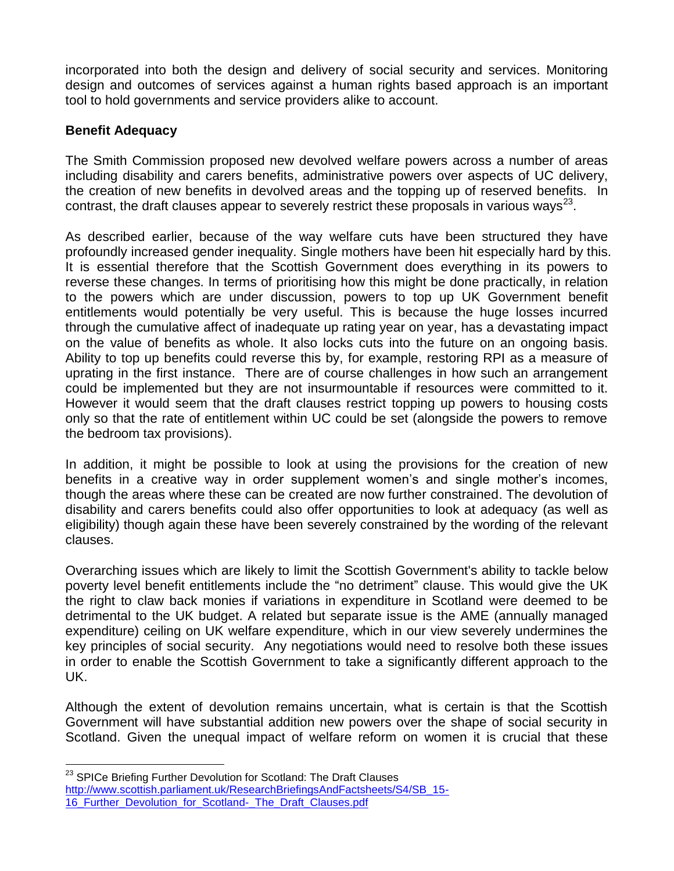incorporated into both the design and delivery of social security and services. Monitoring design and outcomes of services against a human rights based approach is an important tool to hold governments and service providers alike to account.

## **Benefit Adequacy**

 $\overline{a}$ 

The Smith Commission proposed new devolved welfare powers across a number of areas including disability and carers benefits, administrative powers over aspects of UC delivery, the creation of new benefits in devolved areas and the topping up of reserved benefits. In contrast, the draft clauses appear to severely restrict these proposals in various ways<sup>23</sup>.

As described earlier, because of the way welfare cuts have been structured they have profoundly increased gender inequality. Single mothers have been hit especially hard by this. It is essential therefore that the Scottish Government does everything in its powers to reverse these changes. In terms of prioritising how this might be done practically, in relation to the powers which are under discussion, powers to top up UK Government benefit entitlements would potentially be very useful. This is because the huge losses incurred through the cumulative affect of inadequate up rating year on year, has a devastating impact on the value of benefits as whole. It also locks cuts into the future on an ongoing basis. Ability to top up benefits could reverse this by, for example, restoring RPI as a measure of uprating in the first instance. There are of course challenges in how such an arrangement could be implemented but they are not insurmountable if resources were committed to it. However it would seem that the draft clauses restrict topping up powers to housing costs only so that the rate of entitlement within UC could be set (alongside the powers to remove the bedroom tax provisions).

In addition, it might be possible to look at using the provisions for the creation of new benefits in a creative way in order supplement women's and single mother's incomes, though the areas where these can be created are now further constrained. The devolution of disability and carers benefits could also offer opportunities to look at adequacy (as well as eligibility) though again these have been severely constrained by the wording of the relevant clauses.

Overarching issues which are likely to limit the Scottish Government's ability to tackle below poverty level benefit entitlements include the "no detriment" clause. This would give the UK the right to claw back monies if variations in expenditure in Scotland were deemed to be detrimental to the UK budget. A related but separate issue is the AME (annually managed expenditure) ceiling on UK welfare expenditure, which in our view severely undermines the key principles of social security. Any negotiations would need to resolve both these issues in order to enable the Scottish Government to take a significantly different approach to the UK.

Although the extent of devolution remains uncertain, what is certain is that the Scottish Government will have substantial addition new powers over the shape of social security in Scotland. Given the unequal impact of welfare reform on women it is crucial that these

 $^{23}$  SPICe Briefing Further Devolution for Scotland: The Draft Clauses [http://www.scottish.parliament.uk/ResearchBriefingsAndFactsheets/S4/SB\\_15-](http://www.scottish.parliament.uk/ResearchBriefingsAndFactsheets/S4/SB_15-16_Further_Devolution_for_Scotland-_The_Draft_Clauses.pdf) [16\\_Further\\_Devolution\\_for\\_Scotland-\\_The\\_Draft\\_Clauses.pdf](http://www.scottish.parliament.uk/ResearchBriefingsAndFactsheets/S4/SB_15-16_Further_Devolution_for_Scotland-_The_Draft_Clauses.pdf)